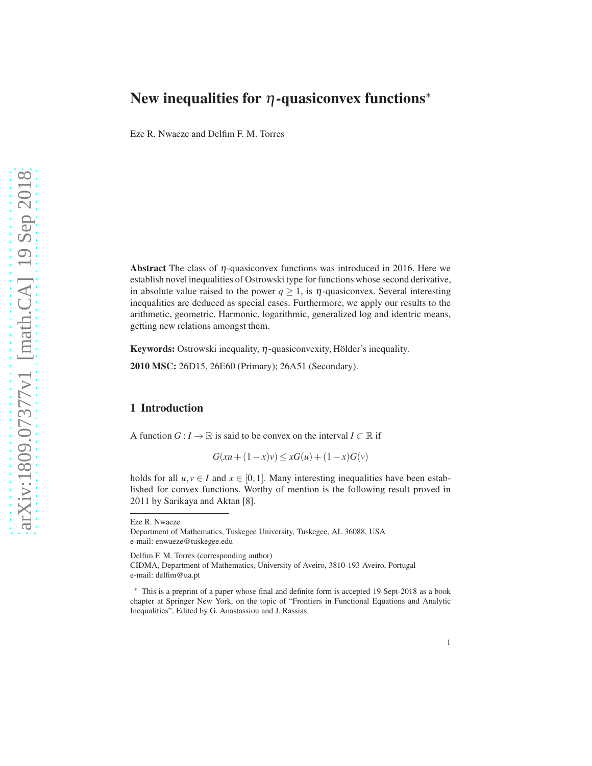# New inequalities for  $\eta$ -quasiconvex functions<sup>\*</sup>

Eze R. Nwaeze and Delfim F. M. Torres

Abstract The class of  $\eta$ -quasiconvex functions was introduced in 2016. Here we establish novel inequalities of Ostrowski type for functions whose second derivative, in absolute value raised to the power  $q \ge 1$ , is  $\eta$ -quasiconvex. Several interesting inequalities are deduced as special cases. Furthermore, we apply our results to the arithmetic, geometric, Harmonic, logarithmic, generalized log and identric means, getting new relations amongst them.

Keywords: Ostrowski inequality,  $\eta$ -quasiconvexity, Hölder's inequality.

2010 MSC: 26D15, 26E60 (Primary); 26A51 (Secondary).

#### 1 Introduction

A function  $G: I \to \mathbb{R}$  is said to be convex on the interval  $I \subset \mathbb{R}$  if

$$
G(xu + (1 - x)v) \le xG(u) + (1 - x)G(v)
$$

holds for all  $u, v \in I$  and  $x \in [0, 1]$ . Many interesting inequalities have been established for convex functions. Worthy of mention is the following result proved in 2011 by Sarikaya and Aktan [8].

Eze R. Nwaeze

Delfim F. M. Torres (corresponding author)

CIDMA, Department of Mathematics, University of Aveiro, 3810-193 Aveiro, Portugal e-mail: delfim@ua.pt

Department of Mathematics, Tuskegee University, Tuskegee, AL 36088, USA e-mail: enwaeze@tuskegee.edu

<sup>∗</sup> This is a preprint of a paper whose final and definite form is accepted 19-Sept-2018 as a book chapter at Springer New York, on the topic of "Frontiers in Functional Equations and Analytic Inequalities", Edited by G. Anastassiou and J. Rassias.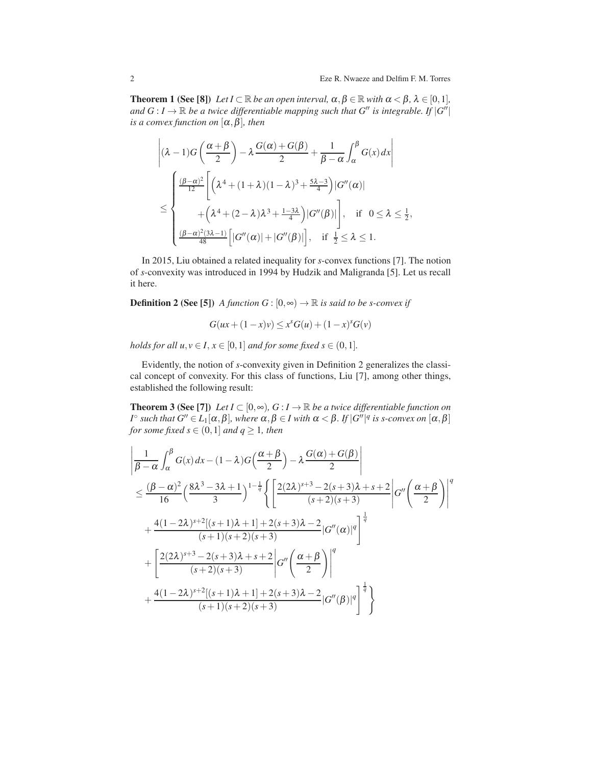**Theorem 1** (See [8]) *Let*  $I \subset \mathbb{R}$  *be an open interval,*  $\alpha, \beta \in \mathbb{R}$  *with*  $\alpha < \beta, \lambda \in [0,1]$ *, and*  $G: I \to \mathbb{R}$  *be a twice differentiable mapping such that*  $G''$  *is integrable. If*  $|G''|$ *is a convex function on*  $[\alpha, \beta]$ *, then* 

$$
\left| (\lambda - 1)G\left(\frac{\alpha + \beta}{2}\right) - \lambda \frac{G(\alpha) + G(\beta)}{2} + \frac{1}{\beta - \alpha} \int_{\alpha}^{\beta} G(x) dx \right|
$$
  

$$
\leq \begin{cases} \frac{(\beta - \alpha)^2}{12} \left[ \left( \lambda^4 + (1 + \lambda)(1 - \lambda)^3 + \frac{5\lambda - 3}{4} \right) |G''(\alpha)| \\ + \left( \lambda^4 + (2 - \lambda)\lambda^3 + \frac{1 - 3\lambda}{4} \right) |G''(\beta)| \right], & \text{if } 0 \leq \lambda \leq \frac{1}{2}, \\ \frac{(\beta - \alpha)^2 (3\lambda - 1)}{48} \left[ |G''(\alpha)| + |G''(\beta)| \right], & \text{if } \frac{1}{2} \leq \lambda \leq 1. \end{cases}
$$

In 2015, Liu obtained a related inequality for *s*-convex functions [7]. The notion of *s*-convexity was introduced in 1994 by Hudzik and Maligranda [5]. Let us recall it here.

**Definition 2 (See [5])** *A function*  $G : [0, \infty) \to \mathbb{R}$  *is said to be s-convex if* 

$$
G(ux + (1 - x)v) \le x^s G(u) + (1 - x)^s G(v)
$$

*holds for all*  $u, v \in I, x \in [0,1]$  *and for some fixed*  $s \in (0,1]$ *.* 

Evidently, the notion of *s*-convexity given in Definition 2 generalizes the classical concept of convexity. For this class of functions, Liu [7], among other things, established the following result:

**Theorem 3 (See [7])** *Let*  $I \subset [0, \infty)$ *, G* :  $I \to \mathbb{R}$  *be a twice differentiable function on I*<sup>○</sup> such that  $G''$  ∈ *L*<sub>1</sub>[α,β], where α,β ∈ *I* with α < β. *If* | $G''|$ <sup>*q*</sup> is s-convex on [α,β] *for some fixed s*  $\in$   $(0,1]$  *and*  $q \ge 1$ *, then* 

$$
\begin{split}\n&\left|\frac{1}{\beta-\alpha}\int_{\alpha}^{\beta}G(x)dx-(1-\lambda)G\left(\frac{\alpha+\beta}{2}\right)-\lambda\frac{G(\alpha)+G(\beta)}{2}\right| \\
&\leq \frac{(\beta-\alpha)^{2}}{16}\left(\frac{8\lambda^{3}-3\lambda+1}{3}\right)^{1-\frac{1}{q}}\left\{\left[\frac{2(2\lambda)^{s+3}-2(s+3)\lambda+s+2}{(s+2)(s+3)}\right|G''\left(\frac{\alpha+\beta}{2}\right)\right]^{q} \\
&+\frac{4(1-2\lambda)^{s+2}[(s+1)\lambda+1]+2(s+3)\lambda-2}{(s+1)(s+2)(s+3)}|G''(\alpha)|^{q}\right]^{\frac{1}{q}} \\
&+\left[\frac{2(2\lambda)^{s+3}-2(s+3)\lambda+s+2}{(s+2)(s+3)}\right]G''\left(\frac{\alpha+\beta}{2}\right)\Big|^{q} \\
&+\frac{4(1-2\lambda)^{s+2}[(s+1)\lambda+1]+2(s+3)\lambda-2}{(s+1)(s+2)(s+3)}|G''(\beta)|^{q}\right]^{\frac{1}{q}}\right\}\n\end{split}
$$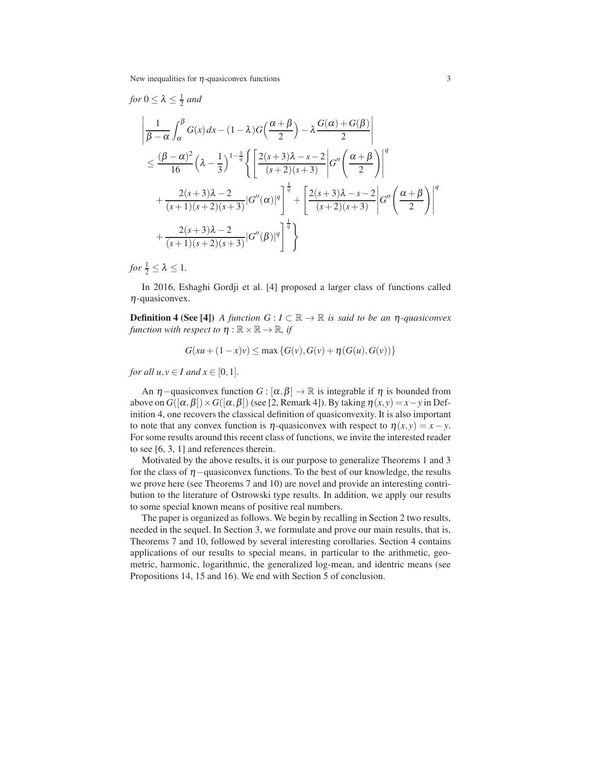$$
\begin{split}\n&\text{for } 0 \leq \lambda \leq \frac{1}{2} \text{ and} \\
&\left| \frac{1}{\beta - \alpha} \int_{\alpha}^{\beta} G(x) dx - (1 - \lambda)G\left(\frac{\alpha + \beta}{2}\right) - \lambda \frac{G(\alpha) + G(\beta)}{2} \right| \\
&\leq \frac{(\beta - \alpha)^2}{16} \left( \lambda - \frac{1}{3} \right)^{1 - \frac{1}{q}} \left\{ \left[ \frac{2(s + 3)\lambda - s - 2}{(s + 2)(s + 3)} \right] G''\left(\frac{\alpha + \beta}{2}\right) \right\}^q \\
&+ \frac{2(s + 3)\lambda - 2}{(s + 1)(s + 2)(s + 3)} |G''(\alpha)|^q \right\}^{\frac{1}{q}} + \left[ \frac{2(s + 3)\lambda - s - 2}{(s + 2)(s + 3)} |G''\left(\frac{\alpha + \beta}{2}\right) \right]^q \\
&+ \frac{2(s + 3)\lambda - 2}{(s + 1)(s + 2)(s + 3)} |G''(\beta)|^q \right]^{\frac{1}{q}} \right\}\n\end{split}
$$

*for*  $\frac{1}{2} \leq \lambda \leq 1$ .

In 2016, Eshaghi Gordji et al. [4] proposed a larger class of functions called  $\eta$ -quasiconvex.

**Definition 4 (See [4])** *A function*  $G: I \subset \mathbb{R} \to \mathbb{R}$  *is said to be an*  $\eta$ -quasiconvex *function with respect to*  $\eta : \mathbb{R} \times \mathbb{R} \to \mathbb{R}$ *, if* 

$$
G(xu + (1 - x)v) \le \max\{G(v), G(v) + \eta(G(u), G(v))\}
$$

*for all*  $u, v \in I$  *and*  $x \in [0, 1]$ *.* 

An  $\eta$  –quasiconvex function *G* : [ $\alpha$ , $\beta$ ]  $\rightarrow \mathbb{R}$  is integrable if  $\eta$  is bounded from above on  $G([\alpha, \beta]) \times G([\alpha, \beta])$  (see [2, Remark 4]). By taking  $\eta(x, y) = x - y$  in Definition 4, one recovers the classical definition of quasiconvexity. It is also important to note that any convex function is  $\eta$ -quasiconvex with respect to  $\eta(x, y) = x - y$ . For some results around this recent class of functions, we invite the interested reader to see [6, 3, 1] and references therein.

Motivated by the above results, it is our purpose to generalize Theorems 1 and 3 for the class of  $\eta$  –quasiconvex functions. To the best of our knowledge, the results we prove here (see Theorems 7 and 10) are novel and provide an interesting contribution to the literature of Ostrowski type results. In addition, we apply our results to some special known means of positive real numbers.

The paper is organized as follows. We begin by recalling in Section 2 two results, needed in the sequel. In Section 3, we formulate and prove our main results, that is, Theorems 7 and 10, followed by several interesting corollaries. Section 4 contains applications of our results to special means, in particular to the arithmetic, geometric, harmonic, logarithmic, the generalized log-mean, and identric means (see Propositions 14, 15 and 16). We end with Section 5 of conclusion.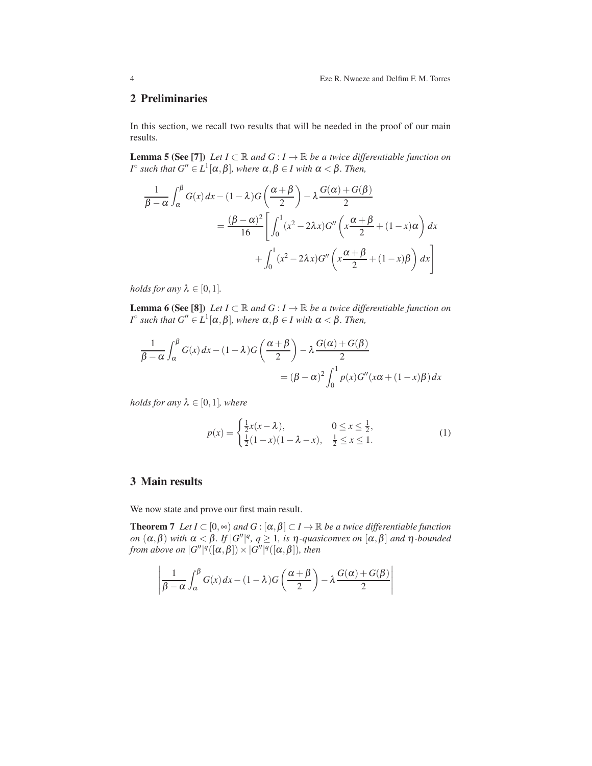## 2 Preliminaries

In this section, we recall two results that will be needed in the proof of our main results.

**Lemma 5 (See [7])** *Let*  $I \subset \mathbb{R}$  *and*  $G : I \to \mathbb{R}$  *be a twice differentiable function on*  $I^{\circ}$  such that  $G'' \in L^1[\alpha, \beta]$ *, where*  $\alpha, \beta \in I$  with  $\alpha < \beta$ *. Then,* 

$$
\frac{1}{\beta - \alpha} \int_{\alpha}^{\beta} G(x) dx - (1 - \lambda)G\left(\frac{\alpha + \beta}{2}\right) - \lambda \frac{G(\alpha) + G(\beta)}{2}
$$

$$
= \frac{(\beta - \alpha)^2}{16} \left[ \int_0^1 (x^2 - 2\lambda x)G''\left(x\frac{\alpha + \beta}{2} + (1 - x)\alpha\right) dx + \int_0^1 (x^2 - 2\lambda x)G''\left(x\frac{\alpha + \beta}{2} + (1 - x)\beta\right) dx \right]
$$

*holds for any*  $\lambda \in [0,1]$ *.* 

**Lemma 6 (See [8])** *Let*  $I \subset \mathbb{R}$  *and*  $G : I \to \mathbb{R}$  *be a twice differentiable function on*  $I^{\circ}$  such that  $G'' \in L^1[\alpha, \beta]$ *, where*  $\alpha, \beta \in I$  with  $\alpha < \beta$ *. Then,* 

$$
\frac{1}{\beta - \alpha} \int_{\alpha}^{\beta} G(x) dx - (1 - \lambda) G\left(\frac{\alpha + \beta}{2}\right) - \lambda \frac{G(\alpha) + G(\beta)}{2}
$$

$$
= (\beta - \alpha)^2 \int_0^1 p(x) G''(x\alpha + (1 - x)\beta) dx
$$

*holds for any*  $\lambda \in [0,1]$ *, where* 

$$
p(x) = \begin{cases} \frac{1}{2}x(x - \lambda), & 0 \le x \le \frac{1}{2}, \\ \frac{1}{2}(1 - x)(1 - \lambda - x), & \frac{1}{2} \le x \le 1. \end{cases}
$$
(1)

# 3 Main results

We now state and prove our first main result.

**Theorem 7** *Let*  $I \subset [0,\infty)$  *and*  $G : [\alpha, \beta] \subset I \to \mathbb{R}$  *be a twice differentiable function on*  $(\alpha, \beta)$  *with*  $\alpha < \beta$ *. If*  $|G''|^q$ ,  $q \ge 1$ *, is*  $\eta$ *-quasiconvex on*  $[\alpha, \beta]$  *and*  $\eta$ *-bounded from above on*  $|G''|^q([\alpha,\beta]) \times |G''|^q([\alpha,\beta])$ *, then* 

$$
\left|\frac{1}{\beta-\alpha}\int_{\alpha}^{\beta}G(x)\,dx-(1-\lambda)G\left(\frac{\alpha+\beta}{2}\right)-\lambda\frac{G(\alpha)+G(\beta)}{2}\right|
$$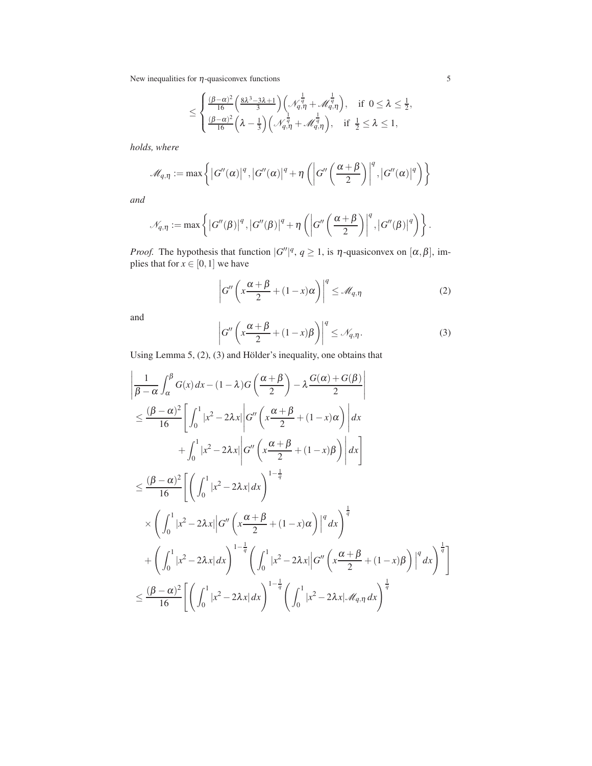$$
\leq \begin{cases} \frac{(\beta-\alpha)^2}{16}\left(\frac{8\lambda^3-3\lambda+1}{3}\right)\left(\mathcal{N}_{q,\eta}^{\frac{1}{q}}+\mathcal{M}_{q,\eta}^{\frac{1}{q}}\right), & \text{if } 0 \leq \lambda \leq \frac{1}{2},\\ \frac{(\beta-\alpha)^2}{16}\left(\lambda-\frac{1}{3}\right)\left(\mathcal{N}_{q,\eta}^{\frac{1}{q}}+\mathcal{M}_{q,\eta}^{\frac{1}{q}}\right), & \text{if } \frac{1}{2} \leq \lambda \leq 1, \end{cases}
$$

*holds, where*

$$
\mathscr{M}_{q,\eta} := \max \left\{ \left| G''(\alpha) \right|^q, \left| G''(\alpha) \right|^q + \eta \left( \left| G''\left( \frac{\alpha + \beta}{2} \right) \right|^q, \left| G''(\alpha) \right|^q \right) \right\}
$$

*and*

$$
\mathcal{N}_{q,\eta} := \max \left\{ \left| G''(\beta) \right|^q, \left| G''(\beta) \right|^q + \eta \left( \left| G''\left( \frac{\alpha + \beta}{2} \right) \right|^q, \left| G''(\beta) \right|^q \right) \right\}.
$$

*Proof.* The hypothesis that function  $|G''|^q$ ,  $q \ge 1$ , is  $\eta$ -quasiconvex on  $[\alpha, \beta]$ , implies that for  $x \in [0,1]$  we have

$$
\left| G''\left(x\frac{\alpha+\beta}{2} + (1-x)\alpha\right) \right|^q \leq \mathcal{M}_{q,\eta} \tag{2}
$$

and

$$
\left| G''\left(x\frac{\alpha+\beta}{2} + (1-x)\beta\right) \right|^q \leq \mathcal{N}_{q,\eta}.\tag{3}
$$

Using Lemma 5,  $(2)$ ,  $(3)$  and Hölder's inequality, one obtains that

$$
\begin{split}\n&\left|\frac{1}{\beta-\alpha}\int_{\alpha}^{\beta}G(x)dx-(1-\lambda)G\left(\frac{\alpha+\beta}{2}\right)-\lambda\frac{G(\alpha)+G(\beta)}{2}\right| \\
&\leq \frac{(\beta-\alpha)^{2}}{16}\left[\int_{0}^{1}|x^{2}-2\lambda x|\left|G''\left(x\frac{\alpha+\beta}{2}+(1-x)\alpha\right)\right|dx \\
&+\int_{0}^{1}|x^{2}-2\lambda x|\left|G''\left(x\frac{\alpha+\beta}{2}+(1-x)\beta\right)\right|dx\right] \\
&\leq \frac{(\beta-\alpha)^{2}}{16}\left[\left(\int_{0}^{1}|x^{2}-2\lambda x|dx\right)^{1-\frac{1}{q}} \\
&\times\left(\int_{0}^{1}|x^{2}-2\lambda x|\left|G''\left(x\frac{\alpha+\beta}{2}+(1-x)\alpha\right)\right|^{q}dx\right)^{\frac{1}{q}} \\
&+\left(\int_{0}^{1}|x^{2}-2\lambda x|dx\right)^{1-\frac{1}{q}}\left(\int_{0}^{1}|x^{2}-2\lambda x|\left|G''\left(x\frac{\alpha+\beta}{2}+(1-x)\beta\right)\right|^{q}dx\right)^{\frac{1}{q}}\right] \\
&\leq \frac{(\beta-\alpha)^{2}}{16}\left[\left(\int_{0}^{1}|x^{2}-2\lambda x|dx\right)^{1-\frac{1}{q}}\left(\int_{0}^{1}|x^{2}-2\lambda x|\mathcal{M}_{q,\eta}dx\right)^{\frac{1}{q}}\right]\n\end{split}
$$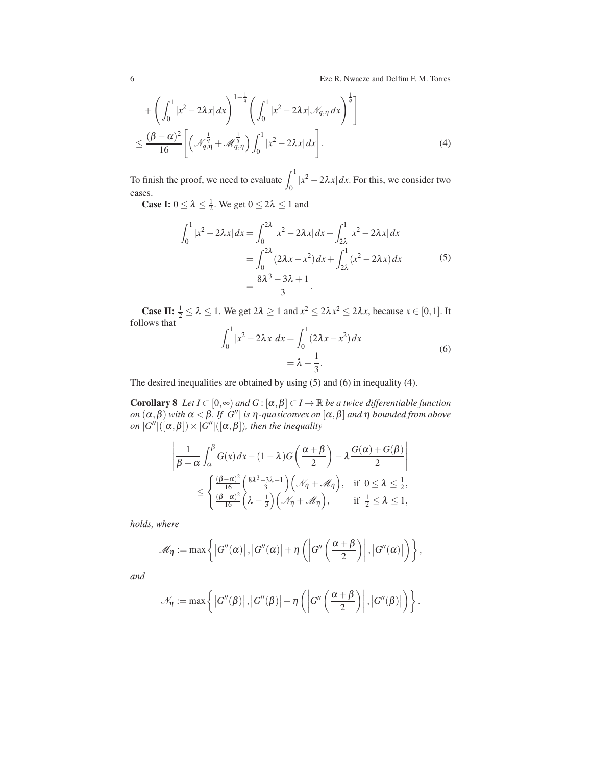6 Eze R. Nwaeze and Delfim F. M. Torres

$$
+\left(\int_{0}^{1} |x^{2}-2\lambda x| dx\right)^{1-\frac{1}{q}} \left(\int_{0}^{1} |x^{2}-2\lambda x| \mathcal{N}_{q,\eta} dx\right)^{\frac{1}{q}}\right]
$$
  

$$
\leq \frac{(\beta-\alpha)^{2}}{16} \left[\left(\mathcal{N}_{q,\eta}^{\frac{1}{q}}+\mathcal{M}_{q,\eta}^{\frac{1}{q}}\right) \int_{0}^{1} |x^{2}-2\lambda x| dx\right].
$$
 (4)

To finish the proof, we need to evaluate  $\int_0^1 |x^2 - 2\lambda x| dx$ . For this, we consider two cases.

**Case I:**  $0 \le \lambda \le \frac{1}{2}$ . We get  $0 \le 2\lambda \le 1$  and

$$
\int_0^1 |x^2 - 2\lambda x| dx = \int_0^{2\lambda} |x^2 - 2\lambda x| dx + \int_{2\lambda}^1 |x^2 - 2\lambda x| dx
$$
  
= 
$$
\int_0^{2\lambda} (2\lambda x - x^2) dx + \int_{2\lambda}^1 (x^2 - 2\lambda x) dx
$$
  
= 
$$
\frac{8\lambda^3 - 3\lambda + 1}{3}.
$$
 (5)

**Case II:**  $\frac{1}{2} \le \lambda \le 1$ . We get  $2\lambda \ge 1$  and  $x^2 \le 2\lambda x^2 \le 2\lambda x$ , because  $x \in [0,1]$ . It follows that

$$
\int_0^1 |x^2 - 2\lambda x| dx = \int_0^1 (2\lambda x - x^2) dx
$$
  
=  $\lambda - \frac{1}{3}$ . (6)

The desired inequalities are obtained by using (5) and (6) in inequality (4).

**Corollary 8** *Let*  $I \subset [0, \infty)$  *and*  $G : [\alpha, \beta] \subset I \to \mathbb{R}$  *be a twice differentiable function on*  $(\alpha, \beta)$  *with*  $\alpha < \beta$ *. If*  $|G''|$  *is*  $\eta$ *-quasiconvex on*  $[\alpha, \beta]$  *and*  $\eta$  *bounded from above*  $\phi$ *n* |*G''*  $|([\alpha, \beta]) \times |G''|([\alpha, \beta])$ *, then the inequality* 

$$
\left| \frac{1}{\beta - \alpha} \int_{\alpha}^{\beta} G(x) dx - (1 - \lambda) G\left(\frac{\alpha + \beta}{2}\right) - \lambda \frac{G(\alpha) + G(\beta)}{2} \right|
$$
  

$$
\leq \left\{ \frac{\left(\beta - \alpha\right)^2}{\frac{16}{16}} \left(\frac{8\lambda^3 - 3\lambda + 1}{3}\right) \left(\mathcal{N}_\eta + \mathcal{M}_\eta\right), \text{ if } 0 \leq \lambda \leq \frac{1}{2},
$$
  

$$
\frac{\left(\beta - \alpha\right)^2}{16} \left(\lambda - \frac{1}{3}\right) \left(\mathcal{N}_\eta + \mathcal{M}_\eta\right), \text{ if } \frac{1}{2} \leq \lambda \leq 1,
$$

*holds, where*

$$
\mathscr{M}_{\eta} := \max \left\{ \left| G''(\alpha) \right|, \left| G''(\alpha) \right| + \eta \left( \left| G''\left(\frac{\alpha + \beta}{2}\right) \right|, \left| G''(\alpha) \right| \right) \right\},\
$$

*and*

$$
\mathcal{N}_{\eta} := \max \left\{ \left| G''(\beta) \right|, \left| G''(\beta) \right| + \eta \left( \left| G''\left(\frac{\alpha + \beta}{2}\right) \right|, \left| G''(\beta) \right| \right) \right\}.
$$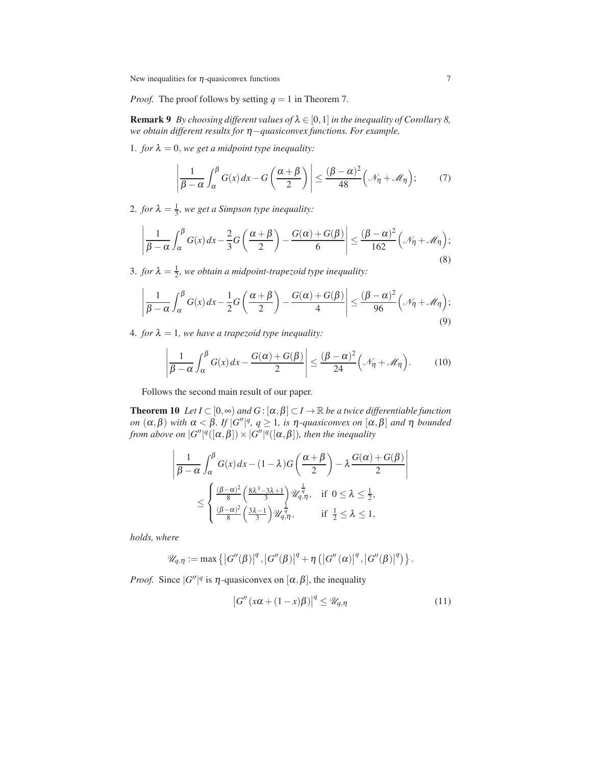*Proof.* The proof follows by setting  $q = 1$  in Theorem 7.

**Remark 9** *By choosing different values of*  $\lambda \in [0,1]$  *in the inequality of Corollary 8, we obtain different results for* <sup>η</sup>−*quasiconvex functions. For example,*

1. *for*  $\lambda = 0$ *, we get a midpoint type inequality:* 

$$
\left|\frac{1}{\beta-\alpha}\int_{\alpha}^{\beta}G(x)\,dx - G\left(\frac{\alpha+\beta}{2}\right)\right| \le \frac{(\beta-\alpha)^2}{48}\left(\mathcal{N}_\eta + \mathcal{M}_\eta\right); \tag{7}
$$

2. *for*  $\lambda = \frac{1}{3}$ , we get a Simpson type inequality:

$$
\left|\frac{1}{\beta-\alpha}\int_{\alpha}^{\beta}G(x)\,dx-\frac{2}{3}G\left(\frac{\alpha+\beta}{2}\right)-\frac{G(\alpha)+G(\beta)}{6}\right|\leq\frac{(\beta-\alpha)^2}{162}\left(\mathcal{N}_{\eta}+\mathcal{M}_{\eta}\right);
$$
\n(8)

3. *for*  $\lambda = \frac{1}{2}$ , we obtain a midpoint-trapezoid type inequality:

$$
\left|\frac{1}{\beta-\alpha}\int_{\alpha}^{\beta}G(x)\,dx-\frac{1}{2}G\left(\frac{\alpha+\beta}{2}\right)-\frac{G(\alpha)+G(\beta)}{4}\right|\leq\frac{(\beta-\alpha)^2}{96}\left(\mathcal{N}_{\eta}+\mathcal{M}_{\eta}\right);
$$
\n(9)

4. *for*  $\lambda = 1$ *, we have a trapezoid type inequality:* 

$$
\left|\frac{1}{\beta-\alpha}\int_{\alpha}^{\beta}G(x)\,dx-\frac{G(\alpha)+G(\beta)}{2}\right|\leq\frac{(\beta-\alpha)^{2}}{24}\left(\mathcal{N}_{\eta}+\mathcal{M}_{\eta}\right).
$$
 (10)

Follows the second main result of our paper.

**Theorem 10** *Let*  $I \subset [0, \infty)$  *and*  $G : [\alpha, \beta] \subset I \to \mathbb{R}$  *be a twice differentiable function on*  $(\alpha, \beta)$  *with*  $\alpha < \beta$ *. If*  $|G''|^q$ ,  $q \ge 1$ *, is*  $\eta$ *-quasiconvex on*  $[\alpha, \beta]$  *and*  $\eta$  *bounded from above on*  $|G''|^q([\alpha,\beta]) \times |G''|^q([\alpha,\beta])$ , then the inequality

$$
\left| \frac{1}{\beta - \alpha} \int_{\alpha}^{\beta} G(x) dx - (1 - \lambda) G\left(\frac{\alpha + \beta}{2}\right) - \lambda \frac{G(\alpha) + G(\beta)}{2} \right|
$$
  

$$
\leq \left\{ \frac{(\beta - \alpha)^2}{8} \left( \frac{8\lambda^3 - 3\lambda + 1}{3} \right) \mathcal{U}_{q,\eta}^{\frac{1}{q}}, \text{ if } 0 \leq \lambda \leq \frac{1}{2},
$$
  

$$
\frac{(\beta - \alpha)^2}{8} \left( \frac{3\lambda - 1}{3} \right) \mathcal{U}_{q,\eta}^{\frac{1}{q}}, \text{ if } \frac{1}{2} \leq \lambda \leq 1,
$$

*holds, where*

$$
\mathscr{U}_{q,\eta} := \max \left\{\left|G''(\beta)\right|^q, \left|G''(\beta)\right|^q + \eta \left(\left|G''(\alpha)\right|^q, \left|G''(\beta)\right|^q\right)\right\}.
$$

*Proof.* Since  $|G''|^q$  is  $\eta$ -quasiconvex on  $[\alpha, \beta]$ , the inequality

$$
|G''(x\alpha + (1-x)\beta)|^q \le \mathcal{U}_{q,\eta}
$$
\n(11)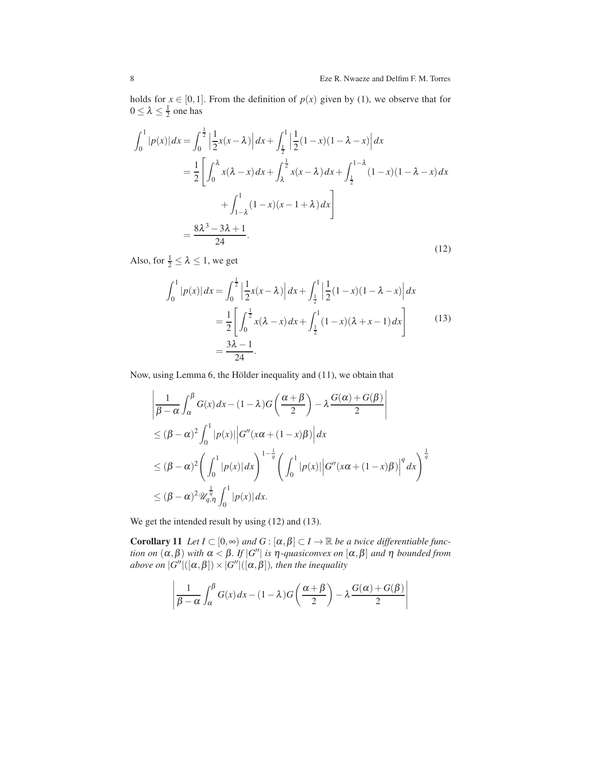holds for  $x \in [0,1]$ . From the definition of  $p(x)$  given by (1), we observe that for  $0 \leq \lambda \leq \frac{1}{2}$  one has

$$
\int_0^1 |p(x)| dx = \int_0^{\frac{1}{2}} \left| \frac{1}{2} x(x - \lambda) \right| dx + \int_{\frac{1}{2}}^1 \left| \frac{1}{2} (1 - x)(1 - \lambda - x) \right| dx
$$
  
\n
$$
= \frac{1}{2} \left[ \int_0^{\lambda} x(\lambda - x) dx + \int_{\lambda}^{\frac{1}{2}} x(x - \lambda) dx + \int_{\frac{1}{2}}^{1 - \lambda} (1 - x)(1 - \lambda - x) dx \right.
$$
  
\n
$$
+ \int_{1 - \lambda}^1 (1 - x)(x - 1 + \lambda) dx \right]
$$
  
\n
$$
= \frac{8\lambda^3 - 3\lambda + 1}{24}.
$$
 (12)

Also, for  $\frac{1}{2} \leq \lambda \leq 1$ , we get

$$
\int_0^1 |p(x)| dx = \int_0^{\frac{1}{2}} \left| \frac{1}{2} x(x - \lambda) \right| dx + \int_{\frac{1}{2}}^1 \left| \frac{1}{2} (1 - x)(1 - \lambda - x) \right| dx
$$
  
= 
$$
\frac{1}{2} \left[ \int_0^{\frac{1}{2}} x(\lambda - x) dx + \int_{\frac{1}{2}}^1 (1 - x)(\lambda + x - 1) dx \right]
$$
  
= 
$$
\frac{3\lambda - 1}{24}.
$$
 (13)

Now, using Lemma 6, the Hölder inequality and  $(11)$ , we obtain that

$$
\left| \frac{1}{\beta - \alpha} \int_{\alpha}^{\beta} G(x) dx - (1 - \lambda)G\left(\frac{\alpha + \beta}{2}\right) - \lambda \frac{G(\alpha) + G(\beta)}{2} \right|
$$
  
\n
$$
\leq (\beta - \alpha)^2 \int_0^1 |p(x)| |G''(x\alpha + (1 - x)\beta)| dx
$$
  
\n
$$
\leq (\beta - \alpha)^2 \left( \int_0^1 |p(x)| dx \right)^{1 - \frac{1}{q}} \left( \int_0^1 |p(x)| |G''(x\alpha + (1 - x)\beta)|^q dx \right)^{\frac{1}{q}}
$$
  
\n
$$
\leq (\beta - \alpha)^2 \mathcal{U}_{q, \eta}^{\frac{1}{q}} \int_0^1 |p(x)| dx.
$$

We get the intended result by using  $(12)$  and  $(13)$ .

**Corollary 11** Let  $I \subset [0,\infty)$  and  $G : [\alpha, \beta] \subset I \to \mathbb{R}$  be a twice differentiable func*tion on*  $(\alpha, \beta)$  *with*  $\alpha < \beta$ *. If*  $|G''|$  *is*  $\eta$ *-quasiconvex on*  $[\alpha, \beta]$  *and*  $\eta$  *bounded from above on*  $|G''|([\alpha,\beta]) \times |G''|([\alpha,\beta])$ , then the inequality

$$
\left| \frac{1}{\beta - \alpha} \int_{\alpha}^{\beta} G(x) dx - (1 - \lambda) G\left(\frac{\alpha + \beta}{2}\right) - \lambda \frac{G(\alpha) + G(\beta)}{2} \right|
$$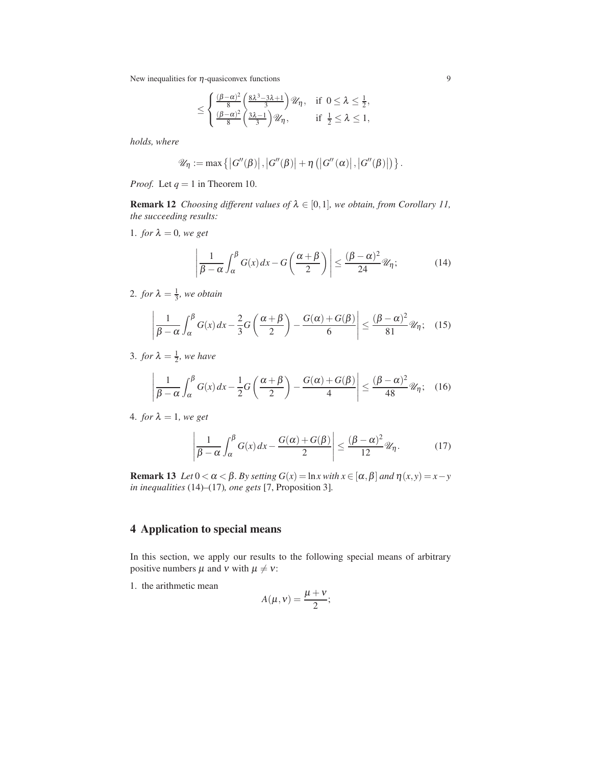$$
\leq \begin{cases} \frac{(\beta-\alpha)^2}{8}\left(\frac{8\lambda^3-3\lambda+1}{3}\right)\mathcal{U}_\eta, & \text{if } 0 \leq \lambda \leq \frac{1}{2},\\ \frac{(\beta-\alpha)^2}{8}\left(\frac{3\lambda-1}{3}\right)\mathcal{U}_\eta, & \text{if } \frac{1}{2} \leq \lambda \leq 1, \end{cases}
$$

*holds, where*

$$
\mathscr{U}_{\eta} := \max \left\{ \left| G''(\beta) \right|, \left| G''(\beta) \right| + \eta \left( \left| G''(\alpha) \right|, \left| G''(\beta) \right| \right) \right\}.
$$

*Proof.* Let  $q = 1$  in Theorem 10.

**Remark 12** *Choosing different values of*  $\lambda \in [0,1]$ *, we obtain, from Corollary 11, the succeeding results:*

1. *for*  $\lambda = 0$ *, we get* 

$$
\left|\frac{1}{\beta-\alpha}\int_{\alpha}^{\beta}G(x)\,dx - G\left(\frac{\alpha+\beta}{2}\right)\right| \le \frac{(\beta-\alpha)^2}{24}\mathscr{U}_\eta; \tag{14}
$$

2. *for*  $\lambda = \frac{1}{3}$ *, we obtain* 

$$
\left|\frac{1}{\beta-\alpha}\int_{\alpha}^{\beta}G(x)\,dx-\frac{2}{3}G\left(\frac{\alpha+\beta}{2}\right)-\frac{G(\alpha)+G(\beta)}{6}\right|\leq\frac{(\beta-\alpha)^2}{81}\mathcal{U}_\eta;\quad(15)
$$

3. *for*  $\lambda = \frac{1}{2}$ *, we have* 

$$
\left|\frac{1}{\beta-\alpha}\int_{\alpha}^{\beta}G(x)\,dx-\frac{1}{2}G\left(\frac{\alpha+\beta}{2}\right)-\frac{G(\alpha)+G(\beta)}{4}\right|\leq\frac{(\beta-\alpha)^2}{48}\mathcal{U}_\eta;\quad(16)
$$

4. *for*  $\lambda = 1$ *, we get* 

$$
\left|\frac{1}{\beta-\alpha}\int_{\alpha}^{\beta}G(x)\,dx-\frac{G(\alpha)+G(\beta)}{2}\right|\leq\frac{(\beta-\alpha)^{2}}{12}\mathscr{U}_{\eta}.\tag{17}
$$

Remark 13 *Let*  $0 < \alpha < \beta$ *. By setting*  $G(x) = \ln x$  *with*  $x \in [\alpha, \beta]$  *and*  $\eta(x, y) = x - y$ *in inequalities* (14)*–*(17)*, one gets* [7, Proposition 3]*.*

### 4 Application to special means

In this section, we apply our results to the following special means of arbitrary positive numbers  $\mu$  and  $\nu$  with  $\mu \neq \nu$ :

1. the arithmetic mean

$$
A(\mu, \nu) = \frac{\mu + \nu}{2};
$$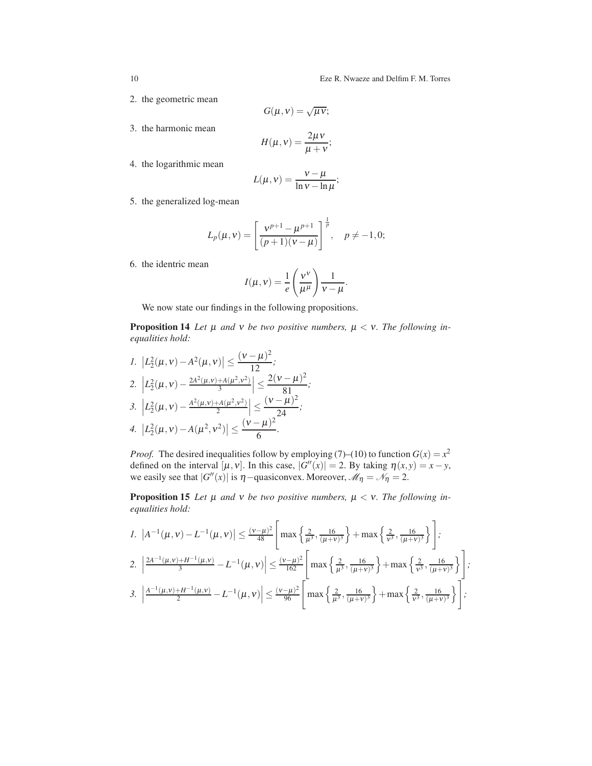#### 10 Eze R. Nwaeze and Delfim F. M. Torres

- 2. the geometric mean
- 3. the harmonic mean

$$
H(\mu, v) = \frac{2\mu v}{\mu + v};
$$

 $G(\mu, \nu) = \sqrt{\mu \nu};$ 

4. the logarithmic mean

$$
L(\mu, v) = \frac{v - \mu}{\ln v - \ln \mu};
$$

5. the generalized log-mean

$$
L_p(\mu, \nu) = \left[\frac{\nu^{p+1} - \mu^{p+1}}{(p+1)(\nu - \mu)}\right]^{\frac{1}{p}}, \quad p \neq -1, 0;
$$

6. the identric mean

$$
I(\mu, v) = \frac{1}{e} \left( \frac{v^{v}}{\mu^{\mu}} \right) \frac{1}{v - \mu}.
$$

We now state our findings in the following propositions.

**Proposition 14** Let  $\mu$  and  $\nu$  be two positive numbers,  $\mu < \nu$ . The following in*equalities hold:*

*1.*  $\left| L_2^2(\mu, v) - A^2(\mu, v) \right| \leq$  $(\nu - \mu)^2$  $\frac{\mu}{12}$ ; 2.  $\left| L_2^2(\mu, v) - \frac{2A^2(\mu, v) + A(\mu^2, v^2)}{3} \right|$  $\frac{+A(\mu^2,\nu^2)}{3}\Big|\leq$  $2(\nu - \mu)^2$  $\frac{\mu}{81}$ ; 3.  $\left| L_2^2(\mu, v) - \frac{A^2(\mu, v) + A(\mu^2, v^2)}{2} \right|$  $\left|\frac{A(\mu^2,\nu^2)}{2}\right| \leq$  $(\nu - \mu)^2$  $\frac{r}{24}$ ; 4.  $\left| L_2^2(\mu, v) - A(\mu^2, v^2) \right| \leq$  $(v - \mu)^2$  $\frac{\mu}{6}$ .

*Proof.* The desired inequalities follow by employing (7)–(10) to function  $G(x) = x^2$ defined on the interval  $[\mu, v]$ . In this case,  $|G''(x)| = 2$ . By taking  $\eta(x, y) = x - y$ , we easily see that  $|G''(x)|$  is  $\eta$  – quasiconvex. Moreover,  $\mathcal{M}_{\eta} = \mathcal{N}_{\eta} = 2$ .

**Proposition 15** Let  $\mu$  and  $\nu$  be two positive numbers,  $\mu < \nu$ . The following in*equalities hold:*

$$
1. \left| A^{-1}(\mu, v) - L^{-1}(\mu, v) \right| \le \frac{(v - \mu)^2}{48} \left[ \max \left\{ \frac{2}{\mu^3}, \frac{16}{(\mu + v)^3} \right\} + \max \left\{ \frac{2}{v^3}, \frac{16}{(\mu + v)^3} \right\} \right];
$$
  
\n
$$
2. \left| \frac{2A^{-1}(\mu, v) + H^{-1}(\mu, v)}{3} - L^{-1}(\mu, v) \right| \le \frac{(v - \mu)^2}{162} \left[ \max \left\{ \frac{2}{\mu^3}, \frac{16}{(\mu + v)^3} \right\} + \max \left\{ \frac{2}{v^3}, \frac{16}{(\mu + v)^3} \right\} \right];
$$
  
\n
$$
3. \left| \frac{A^{-1}(\mu, v) + H^{-1}(\mu, v)}{2} - L^{-1}(\mu, v) \right| \le \frac{(v - \mu)^2}{96} \left[ \max \left\{ \frac{2}{\mu^3}, \frac{16}{(\mu + v)^3} \right\} + \max \left\{ \frac{2}{v^3}, \frac{16}{(\mu + v)^3} \right\} \right];
$$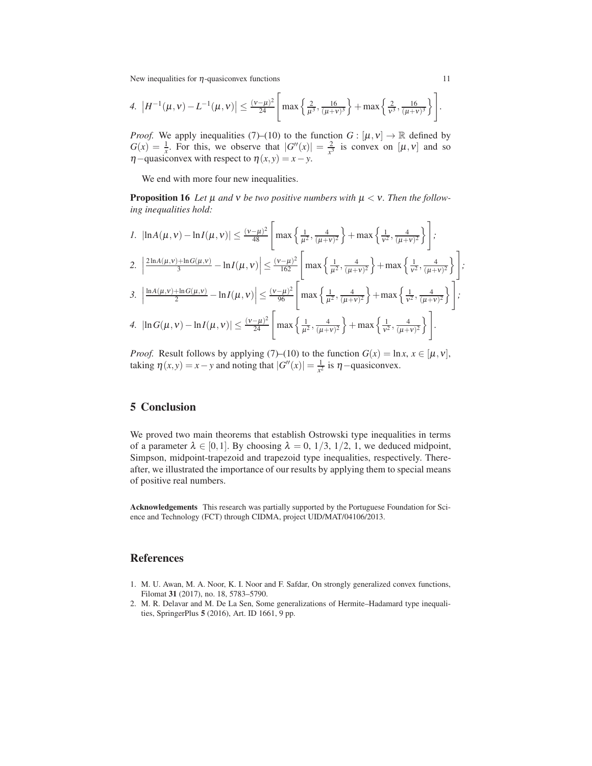4. 
$$
|H^{-1}(\mu, \nu) - L^{-1}(\mu, \nu)| \le \frac{(\nu - \mu)^2}{24} \left[ \max \left\{ \frac{2}{\mu^3}, \frac{16}{(\mu + \nu)^3} \right\} + \max \left\{ \frac{2}{\nu^3}, \frac{16}{(\mu + \nu)^3} \right\} \right].
$$

*Proof.* We apply inequalities (7)–(10) to the function  $G : [\mu, \nu] \to \mathbb{R}$  defined by  $G(x) = \frac{1}{x}$ . For this, we observe that  $|G''(x)| = \frac{2}{x^3}$  is convex on  $[\mu, \nu]$  and so  $\eta$ −quasiconvex with respect to  $\eta(x, y) = x - y$ .

We end with more four new inequalities.

**Proposition 16** Let  $\mu$  and  $\nu$  be two positive numbers with  $\mu < \nu$ . Then the follow*ing inequalities hold:*

$$
1. \left| \ln A(\mu, v) - \ln I(\mu, v) \right| \leq \frac{(v - \mu)^2}{48} \left[ \max \left\{ \frac{1}{\mu^2}, \frac{4}{(\mu + v)^2} \right\} + \max \left\{ \frac{1}{v^2}, \frac{4}{(\mu + v)^2} \right\} \right];
$$
\n
$$
2. \left| \frac{2 \ln A(\mu, v) + \ln G(\mu, v)}{3} - \ln I(\mu, v) \right| \leq \frac{(v - \mu)^2}{162} \left[ \max \left\{ \frac{1}{\mu^2}, \frac{4}{(\mu + v)^2} \right\} + \max \left\{ \frac{1}{v^2}, \frac{4}{(\mu + v)^2} \right\} \right];
$$
\n
$$
3. \left| \frac{\ln A(\mu, v) + \ln G(\mu, v)}{2} - \ln I(\mu, v) \right| \leq \frac{(v - \mu)^2}{96} \left[ \max \left\{ \frac{1}{\mu^2}, \frac{4}{(\mu + v)^2} \right\} + \max \left\{ \frac{1}{v^2}, \frac{4}{(\mu + v)^2} \right\} \right];
$$
\n
$$
4. \left| \ln G(\mu, v) - \ln I(\mu, v) \right| \leq \frac{(v - \mu)^2}{24} \left[ \max \left\{ \frac{1}{\mu^2}, \frac{4}{(\mu + v)^2} \right\} + \max \left\{ \frac{1}{v^2}, \frac{4}{(\mu + v)^2} \right\} \right].
$$

*Proof.* Result follows by applying (7)–(10) to the function  $G(x) = \ln x, x \in [\mu, \nu]$ , taking  $\eta(x, y) = x - y$  and noting that  $|G''(x)| = \frac{1}{x^2}$  is  $\eta$  –quasiconvex.

## 5 Conclusion

We proved two main theorems that establish Ostrowski type inequalities in terms of a parameter  $\lambda \in [0,1]$ . By choosing  $\lambda = 0, 1/3, 1/2, 1$ , we deduced midpoint, Simpson, midpoint-trapezoid and trapezoid type inequalities, respectively. Thereafter, we illustrated the importance of our results by applying them to special means of positive real numbers.

Acknowledgements This research was partially supported by the Portuguese Foundation for Science and Technology (FCT) through CIDMA, project UID/MAT/04106/2013.

#### References

- 1. M. U. Awan, M. A. Noor, K. I. Noor and F. Safdar, On strongly generalized convex functions, Filomat 31 (2017), no. 18, 5783–5790.
- 2. M. R. Delavar and M. De La Sen, Some generalizations of Hermite–Hadamard type inequalities, SpringerPlus 5 (2016), Art. ID 1661, 9 pp.